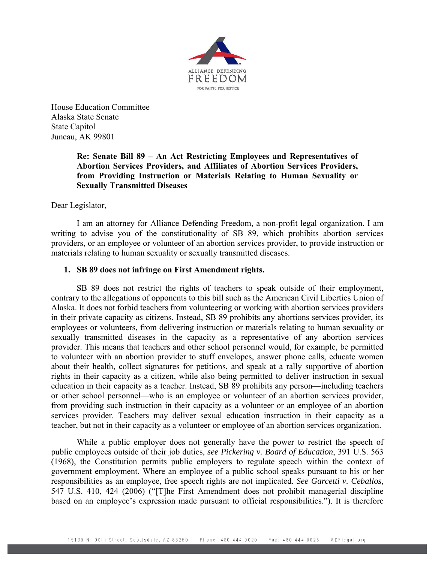

House Education Committee Alaska State Senate State Capitol Juneau, AK 99801

## **Re: Senate Bill 89 – An Act Restricting Employees and Representatives of Abortion Services Providers, and Affiliates of Abortion Services Providers, from Providing Instruction or Materials Relating to Human Sexuality or Sexually Transmitted Diseases**

## Dear Legislator,

I am an attorney for Alliance Defending Freedom, a non-profit legal organization. I am writing to advise you of the constitutionality of SB 89, which prohibits abortion services providers, or an employee or volunteer of an abortion services provider, to provide instruction or materials relating to human sexuality or sexually transmitted diseases.

## **1. SB 89 does not infringe on First Amendment rights.**

SB 89 does not restrict the rights of teachers to speak outside of their employment, contrary to the allegations of opponents to this bill such as the American Civil Liberties Union of Alaska. It does not forbid teachers from volunteering or working with abortion services providers in their private capacity as citizens. Instead, SB 89 prohibits any abortions services provider, its employees or volunteers, from delivering instruction or materials relating to human sexuality or sexually transmitted diseases in the capacity as a representative of any abortion services provider. This means that teachers and other school personnel would, for example, be permitted to volunteer with an abortion provider to stuff envelopes, answer phone calls, educate women about their health, collect signatures for petitions, and speak at a rally supportive of abortion rights in their capacity as a citizen, while also being permitted to deliver instruction in sexual education in their capacity as a teacher. Instead, SB 89 prohibits any person—including teachers or other school personnel—who is an employee or volunteer of an abortion services provider, from providing such instruction in their capacity as a volunteer or an employee of an abortion services provider. Teachers may deliver sexual education instruction in their capacity as a teacher, but not in their capacity as a volunteer or employee of an abortion services organization.

While a public employer does not generally have the power to restrict the speech of public employees outside of their job duties, *see Pickering v. Board of Education*, 391 U.S. 563 (1968), the Constitution permits public employers to regulate speech within the context of government employment. Where an employee of a public school speaks pursuant to his or her responsibilities as an employee, free speech rights are not implicated. *See Garcetti v. Ceballos*, 547 U.S. 410, 424 (2006) ("[T]he First Amendment does not prohibit managerial discipline based on an employee's expression made pursuant to official responsibilities."). It is therefore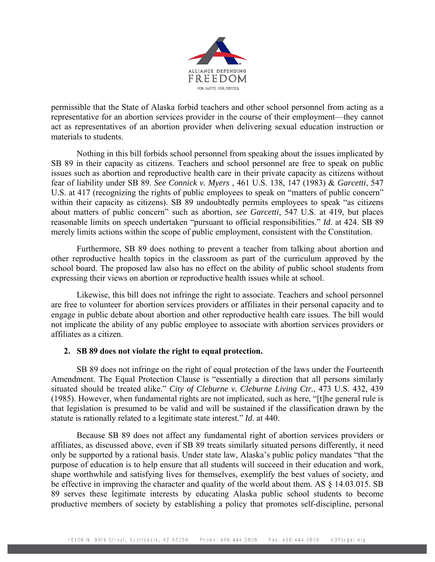

permissible that the State of Alaska forbid teachers and other school personnel from acting as a representative for an abortion services provider in the course of their employment—they cannot act as representatives of an abortion provider when delivering sexual education instruction or materials to students.

Nothing in this bill forbids school personnel from speaking about the issues implicated by SB 89 in their capacity as citizens. Teachers and school personnel are free to speak on public issues such as abortion and reproductive health care in their private capacity as citizens without fear of liability under SB 89. *See Connick v. Myers* , 461 U.S. 138, 147 (1983) & *Garcetti*, 547 U.S. at 417 (recognizing the rights of public employees to speak on "matters of public concern" within their capacity as citizens). SB 89 undoubtedly permits employees to speak "as citizens about matters of public concern" such as abortion, *see Garcetti*, 547 U.S. at 419, but places reasonable limits on speech undertaken "pursuant to official responsibilities." *Id*. at 424. SB 89 merely limits actions within the scope of public employment, consistent with the Constitution.

Furthermore, SB 89 does nothing to prevent a teacher from talking about abortion and other reproductive health topics in the classroom as part of the curriculum approved by the school board. The proposed law also has no effect on the ability of public school students from expressing their views on abortion or reproductive health issues while at school.

Likewise, this bill does not infringe the right to associate. Teachers and school personnel are free to volunteer for abortion services providers or affiliates in their personal capacity and to engage in public debate about abortion and other reproductive health care issues. The bill would not implicate the ability of any public employee to associate with abortion services providers or affiliates as a citizen.

## **2. SB 89 does not violate the right to equal protection.**

SB 89 does not infringe on the right of equal protection of the laws under the Fourteenth Amendment. The Equal Protection Clause is "essentially a direction that all persons similarly situated should be treated alike." *City of Cleburne v. Cleburne Living Ctr.*, 473 U.S. 432, 439 (1985). However, when fundamental rights are not implicated, such as here, "[t]he general rule is that legislation is presumed to be valid and will be sustained if the classification drawn by the statute is rationally related to a legitimate state interest." *Id*. at 440.

Because SB 89 does not affect any fundamental right of abortion services providers or affiliates, as discussed above, even if SB 89 treats similarly situated persons differently, it need only be supported by a rational basis. Under state law, Alaska's public policy mandates "that the purpose of education is to help ensure that all students will succeed in their education and work, shape worthwhile and satisfying lives for themselves, exemplify the best values of society, and be effective in improving the character and quality of the world about them. AS § 14.03.015. SB 89 serves these legitimate interests by educating Alaska public school students to become productive members of society by establishing a policy that promotes self-discipline, personal